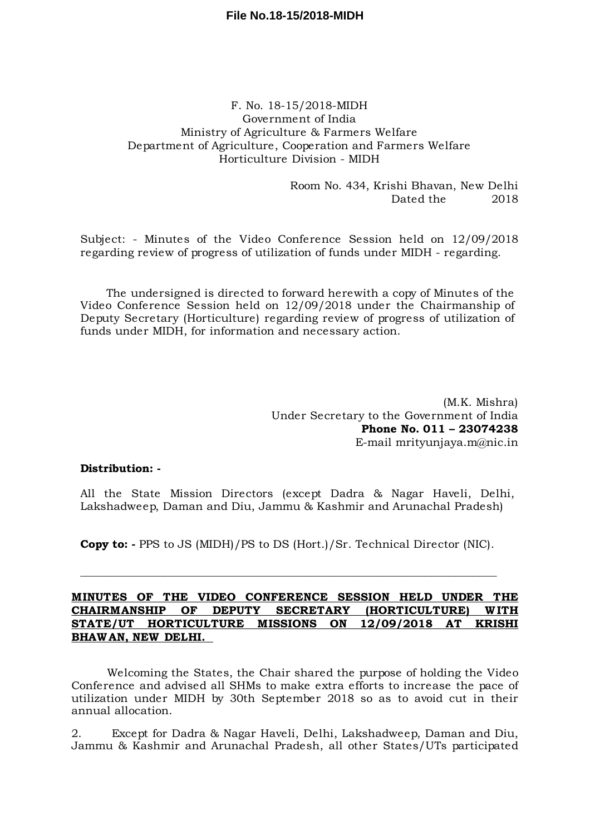# **File No.18-15/2018-MIDH**

# F. No. 18-15/2018-MIDH Government of India Ministry of Agriculture & Farmers Welfare Department of Agriculture, Cooperation and Farmers Welfare Horticulture Division - MIDH

Room No. 434, Krishi Bhavan, New Delhi Dated the 2018

Subject: - Minutes of the Video Conference Session held on 12/09/2018 regarding review of progress of utilization of funds under MIDH - regarding.

The undersigned is directed to forward herewith a copy of Minutes of the Video Conference Session held on 12/09/2018 under the Chairmanship of Deputy Secretary (Horticulture) regarding review of progress of utilization of funds under MIDH, for information and necessary action.

> (M.K. Mishra) Under Secretary to the Government of India **Phone No. 011 – 23074238** E-mail mrityunjaya.m@nic.in

## **Distribution: -**

All the State Mission Directors (except Dadra & Nagar Haveli, Delhi, Lakshadweep, Daman and Diu, Jammu & Kashmir and Arunachal Pradesh)

**Copy to: -** PPS to JS (MIDH)/PS to DS (Hort.)/Sr. Technical Director (NIC).

 $\mathcal{L}_\mathcal{L} = \mathcal{L}_\mathcal{L} = \mathcal{L}_\mathcal{L} = \mathcal{L}_\mathcal{L} = \mathcal{L}_\mathcal{L} = \mathcal{L}_\mathcal{L} = \mathcal{L}_\mathcal{L} = \mathcal{L}_\mathcal{L} = \mathcal{L}_\mathcal{L} = \mathcal{L}_\mathcal{L} = \mathcal{L}_\mathcal{L} = \mathcal{L}_\mathcal{L} = \mathcal{L}_\mathcal{L} = \mathcal{L}_\mathcal{L} = \mathcal{L}_\mathcal{L} = \mathcal{L}_\mathcal{L} = \mathcal{L}_\mathcal{L}$ 

## **MINUTES OF THE VIDEO CONFERENCE SESSION HELD UNDER THE CHAIRMANSHIP OF DEPUTY SECRETARY (HORTICULTURE) WITH STATE/UT HORTICULTURE MISSIONS ON 12/09/2018 AT KRISHI BHAWAN, NEW DELHI.**

Welcoming the States, the Chair shared the purpose of holding the Video Conference and advised all SHMs to make extra efforts to increase the pace of utilization under MIDH by 30th September 2018 so as to avoid cut in their annual allocation.

2. Except for Dadra & Nagar Haveli, Delhi, Lakshadweep, Daman and Diu, Jammu & Kashmir and Arunachal Pradesh, all other States/UTs participated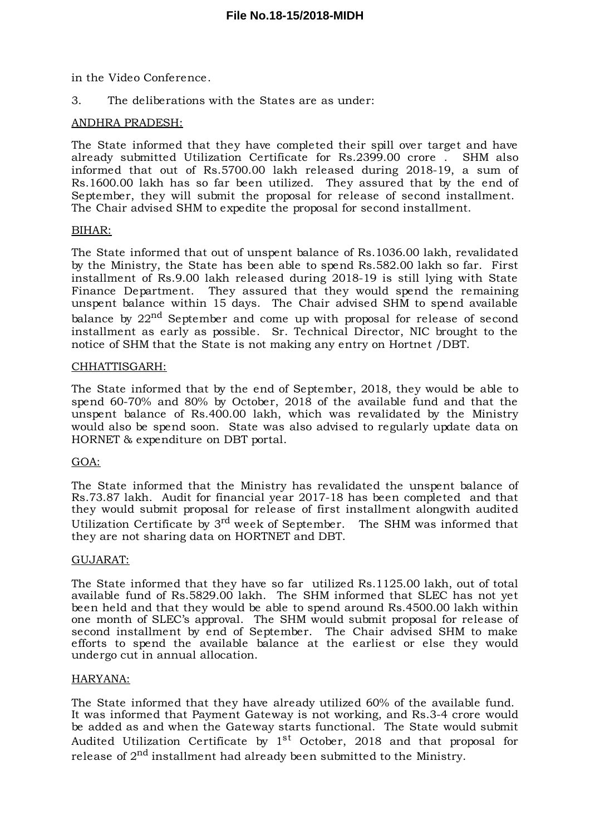in the Video Conference.

3. The deliberations with the States are as under:

## ANDHRA PRADESH:

The State informed that they have completed their spill over target and have already submitted Utilization Certificate for Rs.2399.00 crore . SHM also informed that out of Rs.5700.00 lakh released during 2018-19, a sum of Rs.1600.00 lakh has so far been utilized. They assured that by the end of September, they will submit the proposal for release of second installment. The Chair advised SHM to expedite the proposal for second installment.

## BIHAR:

The State informed that out of unspent balance of Rs.1036.00 lakh, revalidated by the Ministry, the State has been able to spend Rs.582.00 lakh so far. First installment of Rs.9.00 lakh released during 2018-19 is still lying with State Finance Department. They assured that they would spend the remaining unspent balance within 15 days. The Chair advised SHM to spend available balance by 22<sup>nd</sup> September and come up with proposal for release of second installment as early as possible. Sr. Technical Director, NIC brought to the notice of SHM that the State is not making any entry on Hortnet /DBT.

## CHHATTISGARH:

The State informed that by the end of September, 2018, they would be able to spend 60-70% and 80% by October, 2018 of the available fund and that the unspent balance of Rs.400.00 lakh, which was revalidated by the Ministry would also be spend soon. State was also advised to regularly update data on HORNET & expenditure on DBT portal.

## GOA:

The State informed that the Ministry has revalidated the unspent balance of Rs.73.87 lakh. Audit for financial year 2017-18 has been completed and that they would submit proposal for release of first installment alongwith audited Utilization Certificate by 3<sup>rd</sup> week of September. The SHM was informed that they are not sharing data on HORTNET and DBT.

## GUJARAT:

The State informed that they have so far utilized Rs.1125.00 lakh, out of total available fund of Rs.5829.00 lakh. The SHM informed that SLEC has not yet been held and that they would be able to spend around Rs.4500.00 lakh within one month of SLEC's approval. The SHM would submit proposal for release of second installment by end of September. The Chair advised SHM to make efforts to spend the available balance at the earliest or else they would undergo cut in annual allocation.

## HARYANA:

The State informed that they have already utilized 60% of the available fund. It was informed that Payment Gateway is not working, and Rs.3-4 crore would be added as and when the Gateway starts functional. The State would submit Audited Utilization Certificate by  $1^\mathrm{st}$  October, 2018 and that proposal for release of  $2^{\rm nd}$  installment had already been submitted to the Ministry.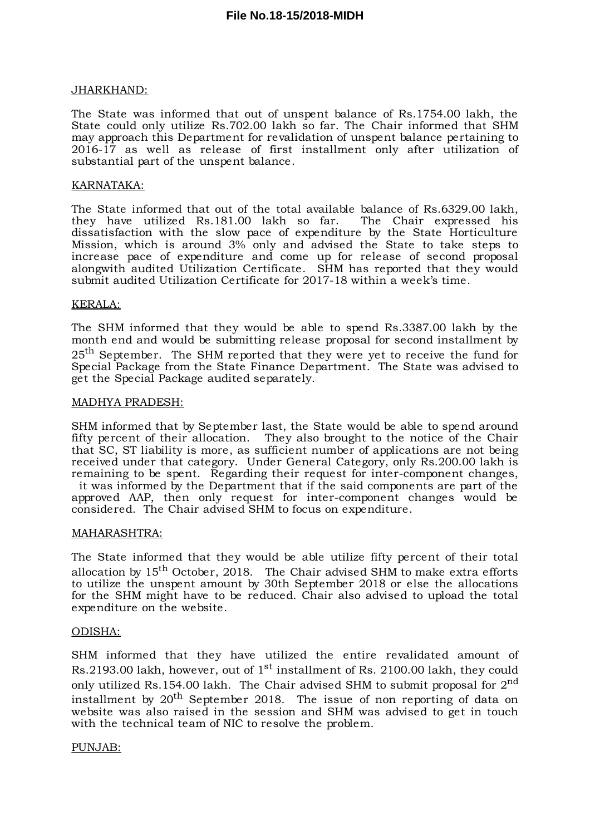## JHARKHAND:

The State was informed that out of unspent balance of Rs.1754.00 lakh, the State could only utilize Rs.702.00 lakh so far. The Chair informed that SHM may approach this Department for revalidation of unspent balance pertaining to 2016-17 as well as release of first installment only after utilization of substantial part of the unspent balance.

## KARNATAKA:

The State informed that out of the total available balance of Rs.6329.00 lakh, they have utilized Rs.181.00 lakh so far. The Chair expressed his dissatisfaction with the slow pace of expenditure by the State Horticulture Mission, which is around 3% only and advised the State to take steps to increase pace of expenditure and come up for release of second proposal alongwith audited Utilization Certificate. SHM has reported that they would submit audited Utilization Certificate for 2017-18 within a week's time.

#### KERALA:

The SHM informed that they would be able to spend Rs.3387.00 lakh by the month end and would be submitting release proposal for second installment by  $25^{\text{th}}$  September. The SHM reported that they were yet to receive the fund for Special Package from the State Finance Department. The State was advised to get the Special Package audited separately.

#### MADHYA PRADESH:

SHM informed that by September last, the State would be able to spend around fifty percent of their allocation. They also brought to the notice of the Chair that SC, ST liability is more, as sufficient number of applications are not being received under that category. Under General Category, only Rs.200.00 lakh is remaining to be spent. Regarding their request for inter-component changes, it was informed by the Department that if the said components are part of the approved AAP, then only request for inter-component changes would be considered. The Chair advised SHM to focus on expenditure.

## MAHARASHTRA:

The State informed that they would be able utilize fifty percent of their total allocation by  $15^{\rm th}$  October, 2018. The Chair advised SHM to make extra efforts to utilize the unspent amount by 30th September 2018 or else the allocations for the SHM might have to be reduced. Chair also advised to upload the total expenditure on the website.

## ODISHA:

SHM informed that they have utilized the entire revalidated amount of Rs.2193.00 lakh, however, out of  $1^\text{st}$  installment of Rs. 2100.00 lakh, they could only utilized Rs.154.00 lakh. The Chair advised SHM to submit proposal for  $2^{\rm nd}$ installment by  $20^{\rm th}$  September 2018. The issue of non reporting of data on website was also raised in the session and SHM was advised to get in touch with the technical team of NIC to resolve the problem.

## PUNJAB: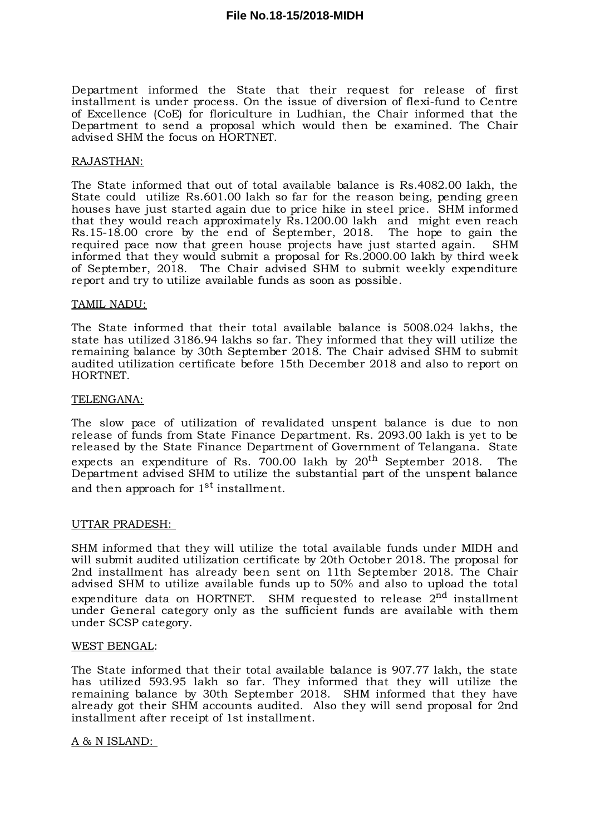## **File No.18-15/2018-MIDH**

Department informed the State that their request for release of first installment is under process. On the issue of diversion of flexi-fund to Centre of Excellence (CoE) for floriculture in Ludhian, the Chair informed that the Department to send a proposal which would then be examined. The Chair advised SHM the focus on HORTNET.

#### RAJASTHAN:

The State informed that out of total available balance is Rs.4082.00 lakh, the State could utilize Rs.601.00 lakh so far for the reason being, pending green houses have just started again due to price hike in steel price. SHM informed that they would reach approximately Rs.1200.00 lakh and might even reach Rs.15-18.00 crore by the end of September, 2018. The hope to gain the required pace now that green house projects have just started again. SHM informed that they would submit a proposal for Rs.2000.00 lakh by third week of September, 2018. The Chair advised SHM to submit weekly expenditure report and try to utilize available funds as soon as possible.

#### TAMIL NADU:

The State informed that their total available balance is 5008.024 lakhs, the state has utilized 3186.94 lakhs so far. They informed that they will utilize the remaining balance by 30th September 2018. The Chair advised SHM to submit audited utilization certificate before 15th December 2018 and also to report on HORTNET.

#### TELENGANA:

The slow pace of utilization of revalidated unspent balance is due to non release of funds from State Finance Department. Rs. 2093.00 lakh is yet to be released by the State Finance Department of Government of Telangana. State expects an expenditure of Rs. 700.00 lakh by  $20^{\rm th}$  September 2018. The Department advised SHM to utilize the substantial part of the unspent balance and then approach for  $1^\mathrm{st}$  installment.

## UTTAR PRADESH:

SHM informed that they will utilize the total available funds under MIDH and will submit audited utilization certificate by 20th October 2018. The proposal for 2nd installment has already been sent on 11th September 2018. The Chair advised SHM to utilize available funds up to 50% and also to upload the total expenditure data on HORTNET. SHM requested to release  $2^{\rm nd}$  installment under General category only as the sufficient funds are available with them under SCSP category.

#### WEST BENGAL:

The State informed that their total available balance is 907.77 lakh, the state has utilized 593.95 lakh so far. They informed that they will utilize the remaining balance by 30th September 2018. SHM informed that they have already got their SHM accounts audited. Also they will send proposal for 2nd installment after receipt of 1st installment.

## A & N ISLAND: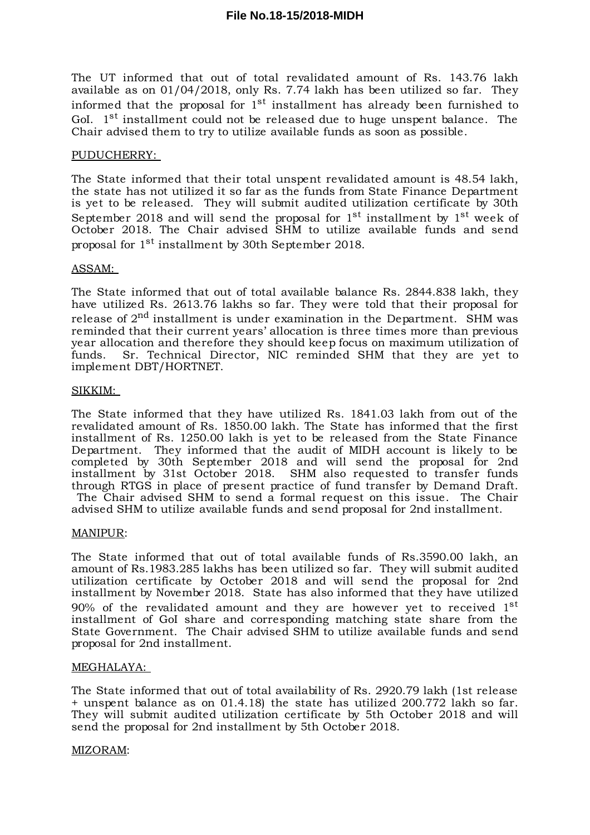The UT informed that out of total revalidated amount of Rs. 143.76 lakh available as on 01/04/2018, only Rs. 7.74 lakh has been utilized so far. They informed that the proposal for  $1^\mathrm{st}$  installment has already been furnished to GoI. 1<sup>st</sup> installment could not be released due to huge unspent balance. The Chair advised them to try to utilize available funds as soon as possible.

#### PUDUCHERRY:

The State informed that their total unspent revalidated amount is 48.54 lakh, the state has not utilized it so far as the funds from State Finance Department is yet to be released. They will submit audited utilization certificate by 30th September 2018 and will send the proposal for  $1^\mathrm{st}$  installment by  $1^\mathrm{st}$  week of October 2018. The Chair advised SHM to utilize available funds and send proposal for 1<sup>st</sup> installment by 30th September 2018.

#### ASSAM:

The State informed that out of total available balance Rs. 2844.838 lakh, they have utilized Rs. 2613.76 lakhs so far. They were told that their proposal for release of 2<sup>nd</sup> installment is under examination in the Department. SHM was reminded that their current years' allocation is three times more than previous year allocation and therefore they should keep focus on maximum utilization of funds. Sr. Technical Director, NIC reminded SHM that they are yet to implement DBT/HORTNET.

#### SIKKIM:

The State informed that they have utilized Rs. 1841.03 lakh from out of the revalidated amount of Rs. 1850.00 lakh. The State has informed that the first installment of Rs. 1250.00 lakh is yet to be released from the State Finance Department. They informed that the audit of MIDH account is likely to be completed by 30th September 2018 and will send the proposal for 2nd installment by 31st October 2018. SHM also requested to transfer funds through RTGS in place of present practice of fund transfer by Demand Draft. The Chair advised SHM to send a formal request on this issue. The Chair advised SHM to utilize available funds and send proposal for 2nd installment.

#### MANIPUR:

The State informed that out of total available funds of Rs.3590.00 lakh, an amount of Rs.1983.285 lakhs has been utilized so far. They will submit audited utilization certificate by October 2018 and will send the proposal for 2nd installment by November 2018. State has also informed that they have utilized  $90\%$  of the revalidated amount and they are however yet to received  $1^\mathrm{st}$ installment of GoI share and corresponding matching state share from the State Government. The Chair advised SHM to utilize available funds and send proposal for 2nd installment.

## MEGHALAYA:

The State informed that out of total availability of Rs. 2920.79 lakh (1st release + unspent balance as on 01.4.18) the state has utilized 200.772 lakh so far. They will submit audited utilization certificate by 5th October 2018 and will send the proposal for 2nd installment by 5th October 2018.

#### MIZORAM: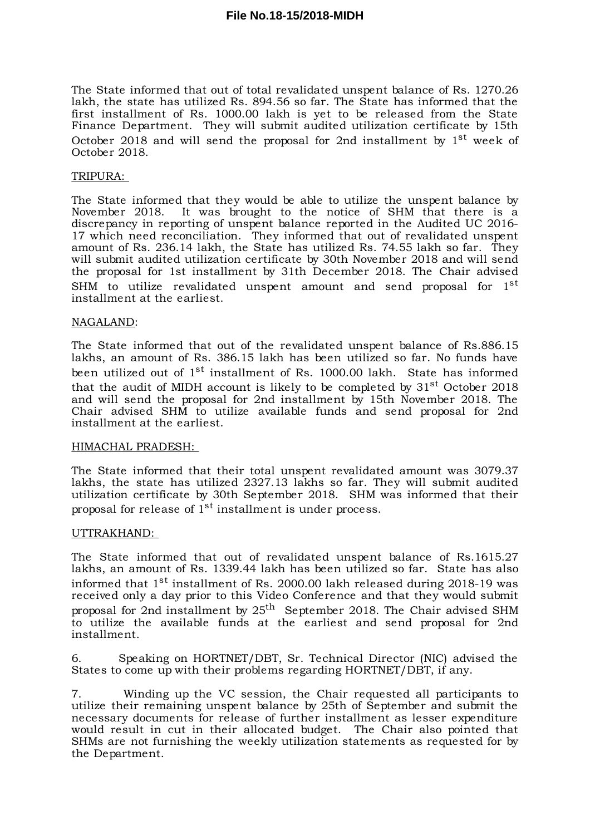The State informed that out of total revalidated unspent balance of Rs. 1270.26 lakh, the state has utilized Rs. 894.56 so far. The State has informed that the first installment of Rs. 1000.00 lakh is yet to be released from the State Finance Department. They will submit audited utilization certificate by 15th October 2018 and will send the proposal for 2nd installment by  $1^\mathrm{st}$  week of October 2018.

#### TRIPURA:

The State informed that they would be able to utilize the unspent balance by November 2018. It was brought to the notice of SHM that there is a It was brought to the notice of SHM that there is a discrepancy in reporting of unspent balance reported in the Audited UC 2016- 17 which need reconciliation. They informed that out of revalidated unspent amount of Rs. 236.14 lakh, the State has utilized Rs. 74.55 lakh so far. They will submit audited utilization certificate by 30th November 2018 and will send the proposal for 1st installment by 31th December 2018. The Chair advised SHM to utilize revalidated unspent amount and send proposal for  $1^\mathrm{st}$ installment at the earliest.

#### NAGALAND:

The State informed that out of the revalidated unspent balance of Rs.886.15 lakhs, an amount of Rs. 386.15 lakh has been utilized so far. No funds have been utilized out of 1<sup>st</sup> installment of Rs. 1000.00 lakh. State has informed that the audit of MIDH account is likely to be completed by  $31^{\rm st}$  October 2018 and will send the proposal for 2nd installment by 15th November 2018. The Chair advised SHM to utilize available funds and send proposal for 2nd installment at the earliest.

#### HIMACHAL PRADESH:

The State informed that their total unspent revalidated amount was 3079.37 lakhs, the state has utilized 2327.13 lakhs so far. They will submit audited utilization certificate by 30th September 2018. SHM was informed that their proposal for release of  $1^\mathrm{st}$  installment is under process.

## UTTRAKHAND:

The State informed that out of revalidated unspent balance of Rs.1615.27 lakhs, an amount of Rs. 1339.44 lakh has been utilized so far. State has also informed that  $1^\mathrm{st}$  installment of Rs. 2000.00 lakh released during 2018-19 was received only a day prior to this Video Conference and that they would submit proposal for 2nd installment by 25<sup>th</sup> September 2018. The Chair advised SHM to utilize the available funds at the earliest and send proposal for 2nd installment.

6. Speaking on HORTNET/DBT, Sr. Technical Director (NIC) advised the States to come up with their problems regarding HORTNET/DBT, if any.

7. Winding up the VC session, the Chair requested all participants to utilize their remaining unspent balance by 25th of September and submit the necessary documents for release of further installment as lesser expenditure would result in cut in their allocated budget. The Chair also pointed that SHMs are not furnishing the weekly utilization statements as requested for by the Department.